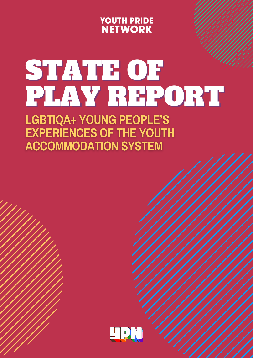

# STATE OF PLAY REPORT

**LGBTIQA+ YOUNG PEOPLE'S EXPERIENCES OF THE YOUTH ACCOMMODATION SYSTEM** 

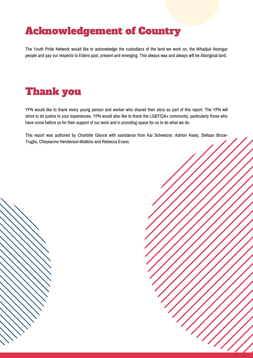# Acknowledgement of Country

The Youth Pride Network would like to acknowledge the custodians of the land we work on, the Whadjuk Noongar people and pay our respects to Elders past, present and emerging. This always was and always will be Aboriginal land.

# Thank you

YPN would like to thank every young person and worker who shared their story as part of this report. The YPN will strive to do justice to your experiences. YPN would also like to thank the LGBTIQA+ community, particularly those who have come before us for their support of our work and in providing space for us to do what we do.

This report was authored by Charlotte Glance with assistance from Kai Schweizer, Ashton Kealy, Stefaan Bruce-Truglio, Cheyeanne Henderson-Watkins and Rebecca Evans.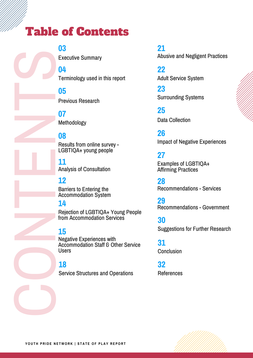# Table of Contents

Executive Summary **03**

Terminology used in this report **04**

Previous Research **05**

Methodology **07**

### **08**

LGBTIQA+ young people Results from online survey -

### **11**

Analysis of Consultation

### **12**

Barriers to Entering the Accommodation System

### **14**

 Rejection of LGBTIQA+ Young People from Accommodation Services

### **15**

 Accommodation Staff & Other Service Negative Experiences with **Users** 

### **18**

 $\bigcirc$ 

N

E

N

S

Service Structures and Operations

### **21**

Abusive and Negligent Practices

Adult Service System **22**

Surrounding Systems **23**

Data Collection **25**

Impact of Negative Experiences **26**

## **27**

Examples of LGBTIQA+ Affirming Practices

Recommendations - Services **28**

Recommendations - Government **29**

Suggestions for Further Research **30**

**Conclusion 31**

References **32**

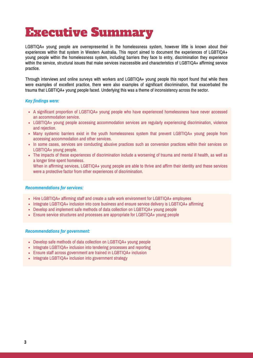# Executive Summary

LGBTIQA+ young people are overrepresented in the homelessness system, however little is known about their experiences within that system in Western Australia. This report aimed to document the experiences of LGBTIQA+ young people within the homelessness system, including barriers they face to entry, discrimination they experience within the service, structural issues that make services inaccessible and characteristics of LGBTIQA+ affirming service practice.

Through interviews and online surveys with workers and LGBTIQA+ young people this report found that while there were examples of excellent practice, there were also examples of significant discrimination, that exacerbated the trauma that LGBTIQA+ young people faced. Underlying this was a theme of inconsistency across the sector.

#### *Key findings were:*

- A significant proportion of LGBTIQA+ young people who have experienced homelessness have never accessed an accommodation service.
- LGBTIQA+ young people accessing accommodation services are regularly experiencing discrimination, violence and rejection.
- Many systemic barriers exist in the youth homelessness system that prevent LGBTIQA+ young people from accessing accommodation and other services.
- In some cases, services are conducting abusive practices such as conversion practices within their services on LGBTIQA+ young people.
- The impacts of these experiences of discrimination include a worsening of trauma and mental ill health, as well as a longer time spent homeless. When in affirming services, LGBTIQA+ young people are able to thrive and affirm their identity and these services

were a protective factor from other experiences of discrimination.

#### *Recommendations for services:*

- Hire LGBTIQA+ affirming staff and create a safe work environment for LGBTIQA+ employees
- Integrate LGBTIQA+ inclusion into core business and ensure service delivery is LGBTIQA+ affirming
- Develop and implement safe methods of data collection on LGBTIQA+ young people
- Ensure service structures and processes are appropriate for LGBTIQA+ young people

#### *Recommendations for government:*

- Develop safe methods of data collection on LGBTIQA+ young people
- Integrate LGBTIQA+ inclusion into tendering processes and reporting
- Ensure staff across government are trained in LGBTIQA+ inclusion
- Integrate LGBTIQA+ inclusion into government strategy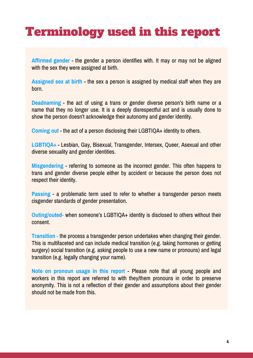# Terminology used in this report

**Affirmed gender** - the gender a person identifies with. It may or may not be aligned with the sex they were assigned at birth.

**Assigned sex at birth** - the sex a person is assigned by medical staff when they are born.

**Deadnaming** - the act of using a trans or gender diverse person's birth name or a name that they no longer use. It is a deeply disrespectful act and is usually done to show the person doesn't acknowledge their autonomy and gender identity.

**Coming out** - the act of a person disclosing their LGBTIQA+ identity to others.

**LGBTIQA+** - Lesbian, Gay, Bisexual, Transgender, Intersex, Queer, Asexual and other diverse sexuality and gender identities.

**Misgendering** - referring to someone as the incorrect gender. This often happens to trans and gender diverse people either by accident or because the person does not respect their identity.

**Passing** - a problematic term used to refer to whether a transgender person meets cisgender standards of gender presentation.

**Outing/outed-** when someone's LGBTIQA+ identity is disclosed to others without their consent.

**Transition** - the process a transgender person undertakes when changing their gender. This is multifaceted and can include medical transition (e.g. taking hormones or getting surgery) social transition (e.g. asking people to use a new name or pronouns) and legal transition (e.g. legally changing your name).

**Note on pronoun usage in this report** - Please note that all young people and workers in this report are referred to with they/them pronouns in order to preserve anonymity. This is not a reflection of their gender and assumptions about their gender should not be made from this.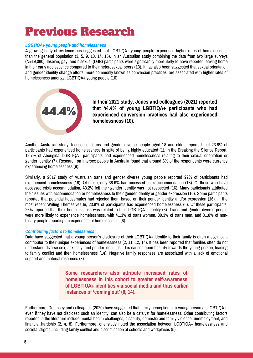# Previous Research

#### *LGBTIQA+ young people and homelessness*

A growing body of evidence has suggested that LGBTIQA+ young people experience higher rates of homelessness than the general population (3, 5, 9, 10, 14, 15). In an Australian study combining the data from two large surveys (N=19,060), lesbian, gay, and bisexual (LGB) participants were significantly more likely to have reported leaving home in their early adolescence compared to their heterosexual peers (13). It has also been suggested that sexual orientation and gender identity change efforts, more commonly known as conversion practices, are associated with higher rates of homelessness amongst LGBTIQA+ young people (10).



**In their 2021 study, Jones and colleagues (2021) reported that 44.4% of young LGBTIQA+ participants who had experienced conversion practices had also experienced homelessness (10).**

Another Australian study, focused on trans and gender diverse people aged 18 and older, reported that 23.8% of participants had experienced homelessness in spite of being highly educated (1). In the Breaking the Silence Report, 12.7% of Aboriginal LGBTIQA+ participants had experienced homelessness relating to their sexual orientation or gender identity (7). Research on intersex people in Australia found that around 6% of the respondents were currently experiencing homelessness (9).

Similarly, a 2017 study of Australian trans and gender diverse young people reported 22% of participants had experienced homelessness (16). Of these, only 38.9% had accessed crisis accommodation (16). Of those who have accessed crisis accommodation, 43.2% felt their gender identity was not respected (16). Many participants attributed their issues with accommodation or homelessness to their gender identity or gender expression (16). Some participants reported that potential housemates had rejected them based on their gender identity and/or expression (16). In the most recent Writing Themselves In, 23.6% of participants had experienced homelessness (6). Of these participants, 26% reported that their homelessness was related to their LGBTIQA+ identity (6). Trans and gender diverse people were more likely to experience homelessness, with 41.3% of trans women, 39.3% of trans men, and 31.8% of nonbinary people reporting an experience of homelessness (6).

#### *Contributing factors to homelessness*

Data have suggested that a young person's disclosure of their LGBTIQA+ identity to their family is often a significant contributor to their unique experiences of homelessness (2, 11, 12, 14). It has been reported that families often do not understand diverse sex, sexuality, and gender identities. This causes open hostility towards the young person, leading to family conflict and then homelessness (14). Negative family responses are associated with a lack of emotional support and material resources (8).

> **Some researchers also attribute increased rates of homelessness in this cohort to greater self-awareness of LGBTIQA+ identities via social media and thus earlier instances of 'coming out' (8, 14).**

Furthermore, Dempsey and colleagues (2020) have suggested that family perception of a young person as LGBTIQA+, even if they have not disclosed such an identity, can also be a catalyst for homelessness. Other contributing factors reported in the literature include mental health challenges, disability, domestic and family violence, unemployment, and financial hardship (2, 4, 8). Furthermore, one study noted the association between LGBTIQA+ homelessness and societal stigma, including family conflict and discrimination at schools and workplaces (5).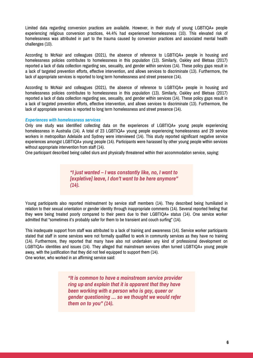Limited data regarding conversion practices are available. However, in their study of young LGBTIQA+ people experiencing religious conversion practices, 44.4% had experienced homelessness (10). This elevated risk of homelessness was attributed in part to the trauma caused by conversion practices and associated mental health challenges (10).

According to McNair and colleagues (2021), the absence of reference to LGBTIQA+ people in housing and homelessness policies contributes to homelessness in this population (13). Similarly, Oakley and Bletsas (2017) reported a lack of data collection regarding sex, sexuality, and gender within services (14). These policy gaps result in a lack of targeted prevention efforts, effective intervention, and allows services to discriminate (13). Furthermore, the lack of appropriate services is reported to long term homelessness and street presence (14).

According to McNair and colleagues (2021), the absence of reference to LGBTIQA+ people in housing and homelessness policies contributes to homelessness in this population (13). Similarly, Oakley and Bletsas (2017) reported a lack of data collection regarding sex, sexuality, and gender within services (14). These policy gaps result in a lack of targeted prevention efforts, effective intervention, and allows services to discriminate (13). Furthermore, the lack of appropriate services is reported to long term homelessness and street presence (14).

#### *Experiences with homelessness services*

Only one study was identified collecting data on the experiences of LGBTIQA+ young people experiencing homelessness in Australia (14). A total of 23 LGBTIQA+ young people experiencing homelessness and 29 service workers in metropolitan Adelaide and Sydney were interviewed (14). This study reported significant negative service experiences amongst LGBTIQA+ young people (14). Participants were harassed by other young people within services without appropriate intervention from staff (14).

One participant described being called slurs and physically threatened within their accommodation service, saying:

*"I just wanted – I was constantly like, no, I want to [expletive] leave, I don't want to be here anymore" (14).*

Young participants also reported mistreatment by service staff members (14). They described being humiliated in relation to their sexual orientation or gender identity through inappropriate comments (14). Several reported feeling that they were being treated poorly compared to their peers due to their LGBTIQA+ status (14). One service worker admitted that "sometimes it's probably safer for them to be transient and couch surfing" (14).

This inadequate support from staff was attributed to a lack of training and awareness (14). Service worker participants stated that staff in some services were not formally qualified to work in community services as they have no training (14). Furthermore, they reported that many have also not undertaken any kind of professional development on LGBTIQA+ identities and issues (14). They alleged that mainstream services often turned LGBTIQA+ young people away, with the justification that they did not feel equipped to support them (14). One worker, who worked in an affirming service said:

> *"It is common to have a mainstream service provider ring up and explain that it is apparent that they have been working with a person who is gay, queer or gender questioning … so we thought we would refer them on to you" (14).*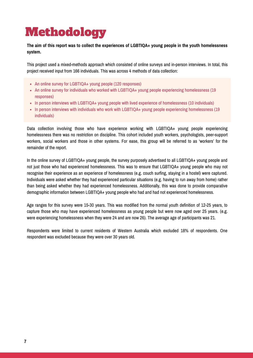# Methodology

The aim of this report was to collect the experiences of LGBTIQA+ young people in the youth homelessness **system.**

This project used a mixed-methods approach which consisted of online surveys and in-person interviews. In total, this project received input from 166 individuals. This was across 4 methods of data collection:

- An online survey for LGBTIQA+ young people (120 responses)
- An online survey for individuals who worked with LGBTIQA+ young people experiencing homelessness (19 responses)
- In person interviews with LGBTIQA+ young people with lived experience of homelessness (10 individuals)
- In person interviews with individuals who work with LGBTIQA+ young people experiencing homelessness (19 individuals)

Data collection involving those who have experience working with LGBTIQA+ young people experiencing homelessness there was no restriction on discipline. This cohort included youth workers, psychologists, peer-support workers, social workers and those in other systems. For ease, this group will be referred to as 'workers' for the remainder of the report.

In the online survey of LGBTIQA+ young people, the survey purposely advertised to all LGBTIQA+ young people and not just those who had experienced homelessness. This was to ensure that LGBTIQA+ young people who may not recognise their experience as an experience of homelessness (e.g. couch surfing, staying in a hostel) were captured. Individuals were asked whether they had experienced particular situations (e.g. having to run away from home) rather than being asked whether they had experienced homelessness. Additionally, this was done to provide comparative demographic information between LGBTIQA+ young people who had and had not experienced homelessness.

Age ranges for this survey were 15-30 years. This was modified from the normal youth definition of 12-25 years, to capture those who may have experienced homelessness as young people but were now aged over 25 years. (e.g. were experiencing homelessness when they were 24 and are now 26). The average age of participants was 21.

Respondents were limited to current residents of Western Australia which excluded 18% of respondents. One respondent was excluded because they were over 30 years old.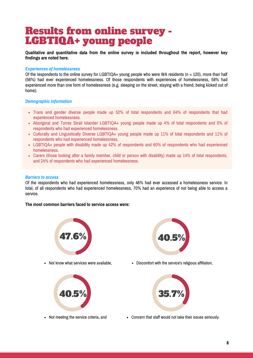# Results from online survey - LGBTIQA+ young people

**Qualitative and quantitative data from the online survey is included throughout the report, however key findings are noted here.**

#### *Experiences of homelessness*

Of the respondents to the online survey for LGBTIQA+ young people who were WA residents ( $n = 120$ ), more than half (56%) had ever experienced homelessness. Of those respondents with experiences of homelessness, 58% had experienced more than one form of homelessness (e.g. sleeping on the street, staying with a friend, being kicked out of home).

#### *Demographic information*

- Trans and gender diverse people made up 52% of total respondents and 64% of respondents that had experienced homelessness.
- Aboriginal and Torres Strait Islander LGBTIQA+ young people made up 4% of total respondents and 5% of respondents who had experienced homelessness.
- Culturally and Linguistically Diverse LGBTIQA+ young people made up 11% of total respondents and 11% of respondents who had experienced homelessness.
- LGBTIQA+ people with disability made up 42% of respondents and 60% of respondents who had experienced homelessness.
- Carers (those looking after a family member, child or person with disability) made up 14% of total respondents, and 24% of respondents who had experienced homelessness.

#### *Barriers to access*

Of the respondents who had experienced homelessness, only 46% had ever accessed a homelessness service. In total, of all respondents who had experienced homelessness, 70% had an experience of not being able to access a service.

#### **The most common barriers faced to service access were:**







• Not know what services were available, **•** Discomfort with the service's religious affiliation,



• Not meeting the service criteria, and **•** Concern that staff would not take their issues seriously.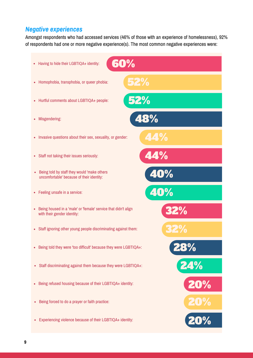### *Negative experiences*

Amongst respondents who had accessed services (46% of those with an experience of homelessness), 92% of respondents had one or more negative experience(s). The most common negative experiences were:

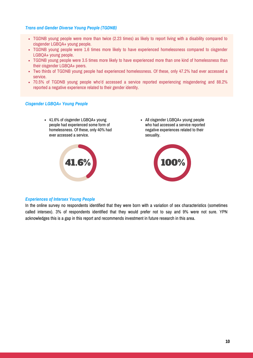#### *Trans and Gender Diverse Young People (TGDNB)*

- TGDNB young people were more than twice (2.23 times) as likely to report living with a disability compared to cisgender LGBQA+ young people.
- TGDNB young people were 1.6 times more likely to have experienced homelessness compared to cisgender LGBQA+ young people.
- TGDNB young people were 3.5 times more likely to have experienced more than one kind of homelessness than their cisgender LGBQA+ peers.
- Two thirds of TGDNB young people had experienced homelessness. Of these, only 47.2% had ever accessed a service.
- 70.5% of TGDNB young people who'd accessed a service reported experiencing misgendering and 88.2% reported a negative experience related to their gender identity.

#### *Cisgender LGBQA+ Young People*

41.6% of cisgender LGBQA+ young people had experienced some form of homelessness. Of these, only 40% had ever accessed a service.



All cisgender LGBQA+ young people who had accessed a service reported negative experiences related to their sexuality.



#### *Experiences of Intersex Young People*

In the online survey no respondents identified that they were born with a variation of sex characteristics (sometimes called intersex). 3% of respondents identified that they would prefer not to say and 9% were not sure. YPN acknowledges this is a gap in this report and recommends investment in future research in this area.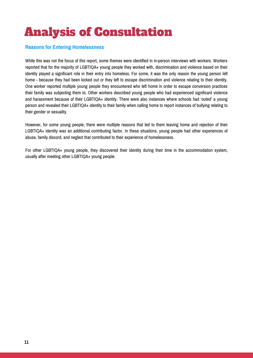# Analysis of Consultation

#### **Reasons for Entering Homelessness**

While this was not the focus of this report, some themes were identified in in-person interviews with workers. Workers reported that for the majority of LGBTIQA+ young people they worked with, discrimination and violence based on their identity played a significant role in their entry into homeless. For some, it was the only reason the young person left home - because they had been kicked out or they left to escape discrimination and violence relating to their identity. One worker reported multiple young people they encountered who left home in order to escape conversion practices their family was subjecting them to. Other workers described young people who had experienced significant violence and harassment because of their LGBTIQA+ identity. There were also instances where schools had 'outed' a young person and revealed their LGBTIQA+ identity to their family when calling home to report instances of bullying relating to their gender or sexuality.

However, for some young people, there were multiple reasons that led to them leaving home and rejection of their LGBTIQA+ identity was an additional contributing factor. In these situations, young people had other experiences of abuse, family discord, and neglect that contributed to their experience of homelessness.

For other LGBTIQA+ young people, they discovered their identity during their time in the accommodation system, usually after meeting other LGBTIQA+ young people.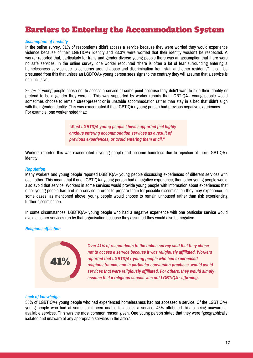### Barriers to Entering the Accommodation System

#### *Assumption of hostility*

In the online survey, 31% of respondents didn't access a service because they were worried they would experience violence because of their LGBTIQA+ identity and 33.3% were worried that their identity wouldn't be respected. A worker reported that, particularly for trans and gender diverse young people there was an assumption that there were no safe services. In the online survey, one worker recounted "there is often a lot of fear surrounding entering a homelessness service due to concerns around abuse and discrimination from staff and other residents". It can be presumed from this that unless an LGBTQA+ young person sees signs to the contrary they will assume that a service is non inclusive.

26.2% of young people chose not to access a service at some point because they didn't want to hide their identity or pretend to be a gender they weren't. This was supported by worker reports that LGBTIQA+ young people would sometimes choose to remain street-present or in unstable accommodation rather than stay in a bed that didn't align with their gender identity. This was exacerbated if the LGBTIQA+ young person had previous negative experiences. For example, one worker noted that:

> *"Most LGBTIQA young people I have supported feel highly anxious entering accommodation services as a result of previous experiences, or avoid entering them at all."*

Workers reported this was exacerbated if young people had become homeless due to rejection of their LGBTIOA+ identity.

#### *Reputation*

Many workers and young people reported LGBTIQA+ young people discussing experiences of different services with each other. This meant that if one LGBTIQA+ young person had a negative experience, then other young people would also avoid that service. Workers in some services would provide young people with information about experiences that other young people had had in a service in order to prepare them for possible discrimination they may experience. In some cases, as mentioned above, young people would choose to remain unhoused rather than risk experiencing further discrimination.

In some circumstances, LGBTIQA+ young people who had a negative experience with one particular service would avoid all other services run by that organisation because they assumed they would also be negative.

#### *Religious affiliation*



*Over 41% of respondents to the online survey said that they chose not to access a service because it was religiously affiliated. Workers reported that LGBTIQA+ young people who had experienced religious trauma, and in particular conversion practices, would avoid services that were religiously affiliated. For others, they would simply assume that a religious service was not LGBTIQA+ affirming.*

#### *Lack of knowledge*

55% of LGBTIQA+ young people who had experienced homelessness had not accessed a service. Of the LGBTIQA+ young people who had at some point been unable to access a service, 48% attributed this to being unaware of available services. This was the most common reason given. One young person stated that they were "geographically isolated and unaware of any appropriate services in the area.".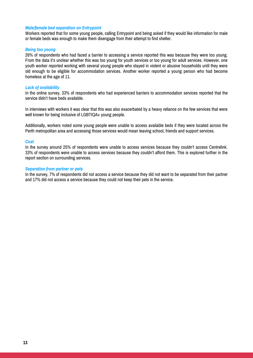#### *Male/female bed separation on Entrypoint*

Workers reported that for some young people, calling Entrypoint and being asked if they would like information for male or female beds was enough to make them disengage from their attempt to find shelter.

#### *Being too young*

26% of respondents who had faced a barrier to accessing a service reported this was because they were too young. From the data it's unclear whether this was too young for youth services or too young for adult services. However, one youth worker reported working with several young people who stayed in violent or abusive households until they were old enough to be eligible for accommodation services. Another worker reported a young person who had become homeless at the age of 11.

#### *Lack of availability*

In the online survey, 33% of respondents who had experienced barriers to accommodation services reported that the service didn't have beds available.

In interviews with workers it was clear that this was also exacerbated by a heavy reliance on the few services that were well known for being inclusive of LGBTIQA+ young people.

Additionally, workers noted some young people were unable to access available beds if they were located across the Perth metropolitan area and accessing those services would mean leaving school, friends and support services.

#### *Cost*

In the survey around 25% of respondents were unable to access services because they couldn't access Centrelink. 33% of respondents were unable to access services because they couldn't afford them. This is explored further in the report section on surrounding services.

#### *Separation from partner or pets*

In the survey, 7% of respondents did not access a service because they did not want to be separated from their partner and 17% did not access a service because they could not keep their pets in the service.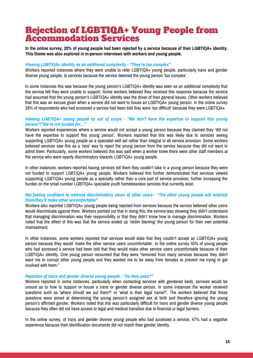### Rejection of LGBTIQA+ Young People from Accommodation Services

In the online survey, 20% of young people had been rejected by a service because of their LGBTIQA+ identity. **This theme was also explored in in-person interviews with workers and young people.**

#### *Viewing LGBTIQA+ identity as an additional complexity - "They're too complex"*

Workers reported instances where they were unable to refer LGBTIQA+ young people, particularly trans and gender diverse young people, to services because the service deemed the young person 'too complex'.

In some instances this was because the young person's LGBTIQA+ identity was seen as an additional complexity that the service felt they were unable to support. Some workers believed they received this response because the service had assumed that the young person's LGBTIQA+ identity was the driver of their general issues. Other workers believed that this was an excuse given when a service did not want to house an LGBTIQA+ young person. In the online survey 28% of respondents who had accessed a service had been told they were 'too difficult' because they were LGBTIQA+.

#### *Viewing LGBTIQA+ young people as out of scope - "We don't have the expertise to support this young person"/"We're not funded for…"*

Workers reported experiences where a service would not accept a young person because they claimed they 'did not have the expertise to support this young person'. Workers reported that this was likely due to services seeing supporting LGBTIQA+ young people as a specialist skill set rather than integral to all service provision. Some workers believed services saw this as a 'nice' way to reject the young person from the service because they did not want to admit them. Particularly, some workers believed this was said when a worker knew there were other staff members at the service who were openly discriminatory towards LGBTIQA+ young people.

In other instances, workers reported having services tell them they couldn't take in a young person because they were not funded to support LGBTIQA+ young people. Workers believed this further demonstrated that services viewed supporting LGBTIQA+ young people as a specialty rather than a core part of service provision, further increasing the burden on the small number LGBTIQA+ specialist youth homelessness services that currently exist.

#### Not feeling confident to address discriminatory views of other users - "The other young people will mistreat *them/they'll make other uncomfortable"*

Workers also reported LGBTIQA+ young people being rejected from services because the service believed other users would discriminate against them. Workers pointed out that in doing this, the service was showing they didn't understand that managing discrimination was their responsibility or that they didn't know how to manage discrimination. Workers noted that the effect of this was that the service ended up 'victim blaming' the young person for their own potential mistreatment.

In other instances, some workers reported that services would state that they couldn't accept an LGBTIQA+ young person because they would 'make the other service users uncomfortable'. In the online survey 40% of young people who had accessed a service had been told that they would make other service users uncomfortable because of their LGBTIQA+ identity. One young person recounted that they were "removed from many services because they didn't want me to corrupt other young people and they wanted me to be away from females to prevent me trying to get involved with them."

#### *Rejection of trans and gender diverse young people - "Do they pass?"*

Workers reported in some instances, particularly when contacting services with gendered beds, services would be unsure as to how to support or house a trans or gender diverse person. In some instances the worker received questions such as 'where should we put them?' or 'what is their legal name?'. The workers believed that these questions were aimed at determining the young person's assigned sex at birth and therefore ignoring the young person's affirmed gender. Workers noted that this was particularly difficult for trans and gender diverse young people because they often did not have access to legal and medical transition due to financial or legal barriers.

In the online survey, of trans and gender diverse young people who had accessed a service, 47% had a negative experience because their identification documents did not match their gender identity.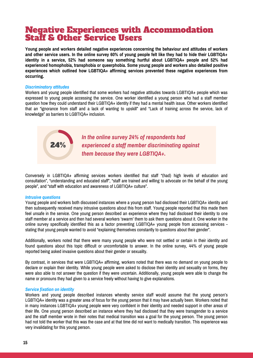### Negative Experiences with Accommodation Staff & Other Service Users

**Young people and workers detailed negative experiences concerning the behaviour and attitudes of workers** and other service users. In the online survey 60% of young people felt like they had to hide their LGBTIQA+ **identity in a service, 52% had someone say something hurtful about LGBTIQA+ people and 52% had experienced homophobia, transphobia or queerphobia. Some young people and workers also detailed positive experiences which outlined how LGBTIQA+ affirming services prevented these negative experiences from occurring.**

#### *Discriminatory attitudes*

Workers and young people identified that some workers had negative attitudes towards LGBTIQA+ people which was expressed to young people accessing the service. One worker identified a young person who had a staff member question how they could understand their LGBTIQA+ identity if they had a mental health issue. Other workers identified that an "ignorance from staff and a lack of wanting to upskill" and "Lack of training across the service, lack of knowledge" as barriers to LGBTIQA+ inclusion.



*In the online survey 24% of respondents had experienced a staff member discriminating against them because they were LGBTIQA+.*

Conversely in LGBTIQA+ affirming services workers identified that staff "(had) high levels of education and consultation", "understanding and educated staff", "staff are trained and willing to advocate on the behalf of the young people", and "staff with education and awareness of LGBTIQA+ culture".

#### *Intrusive questions*

Young people and workers both discussed instances where a young person had disclosed their LGBTIQA+ identity and then subsequently received many intrusive questions about this from staff. Young people reported that this made them feel unsafe in the service. One young person described an experience where they had disclosed their identity to one staff member at a service and then had several workers 'swarm' them to ask them questions about it. One worker in the online survey specifically identified this as a factor preventing LGBTIQA+ young people from accessing services stating that young people wanted to avoid "explaining themselves constantly to questions about their gender".

Additionally, workers noted that there were many young people who were not settled or certain in their identity and found questions about this topic difficult or uncomfortable to answer. In the online survey, 44% of young people reported being asked invasive questions about their gender or sexuality.

By contrast, in services that were LGBTIQA+ affirming, workers noted that there was no demand on young people to declare or explain their identity. While young people were asked to disclose their identity and sexuality on forms, they were also able to not answer the question if they were uncertain. Additionally, young people were able to change the name or pronouns they had given to a service freely without having to give explanations.

#### *Service fixation on identity*

Workers and young people described instances whereby service staff would assume that the young person's LGBTIQA+ identity was a greater area of focus for the young person that it may have actually been. Workers noted that in many instances LGBTIQA+ young people were very confident in their identity and needed support in other areas of their life. One young person described an instance where they had disclosed that they were transgender to a service and the staff member wrote in their notes that medical transition was a goal for the young person. The young person had not told the worker that this was the case and at that time did not want to medically transition. This experience was very invalidating for this young person.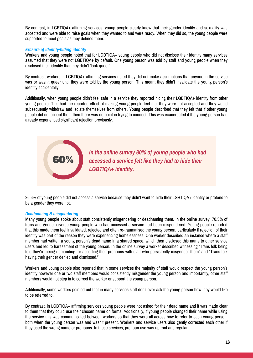By contrast, in LGBTIQA+ affirming services, young people clearly knew that their gender identity and sexuality was accepted and were able to raise goals when they wanted to and were ready. When they did so, the young people were supported to meet goals as they defined them.

#### *Erasure of identity/hiding identity*

Workers and young people noted that for LGBTIQA+ young people who did not disclose their identity many services assumed that they were not LGBTIQA+ by default. One young person was told by staff and young people when they disclosed their identity that they didn't 'look queer'.

By contrast, workers in LGBTIQA+ affirming services noted they did not make assumptions that anyone in the service was or wasn't queer until they were told by the young person. This meant they didn't invalidate the young person's identity accidentally.

Additionally, when young people didn't feel safe in a service they reported hiding their LGBTIQA+ identity from other young people. This had the reported effect of making young people feel that they were not accepted and they would subsequently withdraw and isolate themselves from others. Young people described that they felt that if other young people did not accept them then there was no point in trying to connect. This was exacerbated if the young person had already experienced significant rejection previously.



26.6% of young people did not access a service because they didn't want to hide their LGBTIQA+ identity or pretend to be a gender they were not.

#### *Deadnaming & misgendering*

Many young people spoke about staff consistently misgendering or deadnaming them. In the online survey, 70.5% of trans and gender diverse young people who had accessed a service had been misgendered. Young people reported that this made them feel invalidated, rejected and often re-traumatised the young person, particularly if rejection of their identity was part of the reason they were experiencing homelessness. One worker described an instance where a staff member had written a young person's dead name in a shared space, which then disclosed this name to other service users and led to harassment of the young person. In the online survey a worker described witnessing "Trans folk being told they're being demanding for asserting their pronouns with staff who persistently misgender them" and "Trans folk having their gender denied and dismissed."

Workers and young people also reported that in some services the majority of staff would respect the young person's identity however one or two staff members would consistently misgender the young person and importantly, other staff members would not step in to correct the worker or support the young person.

Additionally, some workers pointed out that in many services staff don't ever ask the young person how they would like to be referred to.

By contrast, in LGBTIQA+ affirming services young people were not asked for their dead name and it was made clear to them that they could use their chosen name on forms. Additionally, if young people changed their name while using the service this was communicated between workers so that they were all across how to refer to each young person, both when the young person was and wasn't present. Workers and service users also gently corrected each other if they used the wrong name or pronouns. In these services, pronoun use was upfront and regular.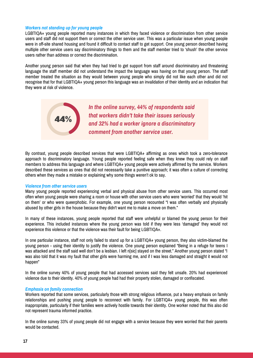#### *Workers not standing up for young people*

LGBTIQA+ young people reported many instances in which they faced violence or discrimination from other service users and staff did not support them or correct the other service user. This was a particular issue when young people were in off-site shared housing and found it difficult to contact staff to get support. One young person described having multiple other service users say discriminatory things to them and the staff member tried to 'shush' the other service users rather than address or correct the discrimination.

Another young person said that when they had tried to get support from staff around discriminatory and threatening language the staff member did not understand the impact the language was having on that young person. The staff member treated the situation as they would between young people who simply did not like each other and did not recognise that for that LGBTIQA+ young person this language was an invalidation of their identity and an indication that they were at risk of violence.



By contrast, young people described services that were LGBTIQA+ affirming as ones which took a zero-tolerance approach to discriminatory language. Young people reported feeling safe when they knew they could rely on staff members to address this language and where LGBTIQA+ young people were actively affirmed by the service. Workers described these services as ones that did not necessarily take a punitive approach; it was often a culture of correcting others when they made a mistake or explaining why some things weren't ok to say.

#### *Violence from other service users*

Many young people reported experiencing verbal and physical abuse from other service users. This occurred most often when young people were sharing a room or house with other service users who were 'worried' that they would 'hit on them' or who were queerphobic. For example, one young person recounted "I was often verbally and physically abused by other girls in the house because they didn't want me to make a move on them."

In many of these instances, young people reported that staff were unhelpful or blamed the young person for their experience. This included instances where the young person was told if they were less 'damaged' they would not experience this violence or that the violence was their fault for being LGBTIQA+.

In one particular instance, staff not only failed to stand up for a LGBTIQA+ young person, they also victim-blamed the young person - using their identity to justify the violence. One young person explained "Being in a refuge for teens I was attacked and the staff said well don't be a lesbian. I left n[sic] stayed on the street." Another young person stated "I was also told that it was my fault that other girls were harming me, and if I was less damaged and straight it would not happen"

In the online survey 40% of young people that had accessed services said they felt unsafe. 20% had experienced violence due to their identity. 40% of young people had had their property stolen, damaged or confiscated.

#### *Emphasis on family connection*

Workers reported that some services, particularly those with strong religious influence, put a heavy emphasis on family relationships and pushing young people to reconnect with family. For LGBTIQA+ young people, this was often inappropriate, particularly if their families were actively hostile towards their identity. One worker noted that this also did not represent trauma informed practice.

In the online survey 33% of young people did not engage with a service because they were worried that their parents would be contacted.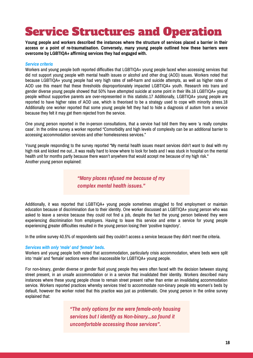# Service Structures and Operation

Young people and workers described the instances where the structure of services placed a barrier in their **access or a point of re-traumatisation. Conversely, many young people outlined how these barriers were overcome by LGBTIQA+ affirming services they had engaged with.**

#### *Service criteria*

Workers and young people both reported difficulties that LGBTIQA+ young people faced when accessing services that did not support young people with mental health issues or alcohol and other drug (AOD) issues. Workers noted that because LGBTIQA+ young people had very high rates of self-harm and suicide attempts, as well as higher rates of AOD use this meant that these thresholds disproportionately impacted LGBTIQA+ youth. Research into trans and gender diverse young people showed that 50% have attempted suicide at some point in their life.16 LGBTIQA+ young people without supportive parents are over-represented in this statistic.17 Additionally, LGBTIQA+ young people are reported to have higher rates of AOD use, which is theorised to be a strategy used to cope with minority stress.18 Additionally one worker reported that some young people felt they had to hide a diagnosis of autism from a service because they felt it may get them rejected from the service.

One young person reported in the in-person consultations, that a service had told them they were 'a really complex case'. In the online survey a worker reported "Comorbidity and high levels of complexity can be an additional barrier to accessing accommodation services and other homelessness services."

Young people responding to the survey reported "My mental health issues meant services didn't want to deal with my high risk and kicked me out...It was really hard to know where to look for beds and I was stuck in hospital on the mental health unit for months partly because there wasn't anywhere that would accept me because of my high risk." Another young person explained:

> *"Many places refused me because of my complex mental health issues."*

Additionally, it was reported that LGBTIQA+ young people sometimes struggled to find employment or maintain education because of discrimination due to their identity. One worker discussed an LGBTIQA+ young person who was asked to leave a service because they could not find a job, despite the fact the young person believed they were experiencing discrimination from employers. Having to leave this service and enter a service for young people experiencing greater difficulties resulted in the young person losing their 'positive trajectory'.

In the online survey 40.5% of respondents said they couldn't access a service because they didn't meet the criteria.

#### *Services with only 'male' and 'female' beds.*

Workers and young people both noted that accommodation, particularly crisis accommodation, where beds were split into 'male' and 'female' sections were often inaccessible for LGBTIQA+ young people.

For non-binary, gender diverse or gender fluid young people they were often faced with the decision between staying street present, in an unsafe accommodation or in a service that invalidated their identity. Workers described many instances where these young people chose to remain street present rather than enter an invalidating accommodation service. Workers reported practices whereby services tried to accommodate non-binary people into women's beds by default, however the worker noted that this practice was just as problematic. One young person in the online survey explained that:

> *"The only options for me were female-only housing services but I identify as Non-binary...so found it uncomfortable accessing those services".*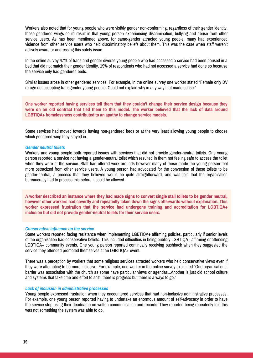Workers also noted that for young people who were visibly gender non-conforming, regardless of their gender identity, these gendered wings could result in that young person experiencing discrimination, bullying and abuse from other service users. As has been mentioned above, for same-gender attracted young people, many had experienced violence from other service users who held discriminatory beliefs about them. This was the case when staff weren't actively aware or addressing this safety issue.

In the online survey 47% of trans and gender diverse young people who had accessed a service had been housed in a bed that did not match their gender identity. 19% of respondents who had not accessed a service had done so because the service only had gendered beds.

Similar issues arose in other gendered services. For example, in the online survey one worker stated "Female only DV refuge not accepting transgender young people. Could not explain why in any way that made sense."

**One worker reported having services tell them that they couldn't change their service design because they** were on an old contract that tied them to this model. The worker believed that the lack of data around **LGBTIQA+ homelessness contributed to an apathy to change service models.**

Some services had moved towards having non-gendered beds or at the very least allowing young people to choose which gendered wing they stayed in.

#### *Gender neutral toilets*

Workers and young people both reported issues with services that did not provide gender-neutral toilets. One young person reported a service not having a gender-neutral toilet which resulted in them not feeling safe to access the toilet when they were at the service. Staff had offered work arounds however many of these made the young person feel more ostracized from other service users. A young person had advocated for the conversion of these toilets to be gender-neutral, a process that they believed would be quite straightforward, and was told that the organisation bureaucracy had to process this before it could be allowed.

A worker described an instance where they had made signs to convert single stall toilets to be gender neutral, **however other workers had covertly and repeatedly taken down the signs afterwards without explanation. This worker expressed frustration that the service had undergone training and accreditation for LGBTIQA+ inclusion but did not provide gender-neutral toilets for their service users.**

#### *Conservative influence on the service*

Some workers reported facing resistance when implementing LGBTIQA+ affirming policies, particularly if senior levels of the organisation had conservative beliefs. This included difficulties in being publicly LGBTIQA+ affirming or attending LGBTIQA+ community events. One young person reported continually receiving pushback when they suggested the service they attended promoted themselves at an LGBTIQA+ event.

There was a perception by workers that some religious services attracted workers who held conservative views even if they were attempting to be more inclusive. For example, one worker in the online survey explained "One organisational barrier was association with the church as some have particular views or agendas...Another is just old school culture and systems that take time and effort to shift, there is progress but there is a ways to go."

#### *Lack of inclusion in administrative processes*

Young people expressed frustration when they encountered services that had non-inclusive administrative processes. For example, one young person reported having to undertake an enormous amount of self-advocacy in order to have the service stop using their deadname on written communication and records. They reported being repeatedly told this was not something the system was able to do.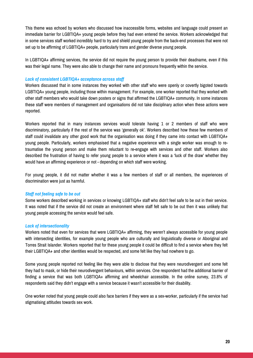This theme was echoed by workers who discussed how inaccessible forms, websites and language could present an immediate barrier for LGBTIQA+ young people before they had even entered the service. Workers acknowledged that in some services staff worked incredibly hard to try and shield young people from the back-end processes that were not set up to be affirming of LGBTIQA+ people, particularly trans and gender diverse young people.

In LGBTIQA+ affirming services, the service did not require the young person to provide their deadname, even if this was their legal name. They were also able to change their name and pronouns frequently within the service.

#### *Lack of consistent LGBTIQA+ acceptance across staff*

Workers discussed that in some instances they worked with other staff who were openly or covertly bigoted towards LGBTIQA+ young people, including those within management. For example, one worker reported that they worked with other staff members who would take down posters or signs that affirmed the LGBTIQA+ community. In some instances these staff were members of management and organisations did not take disciplinary action when these actions were reported.

Workers reported that in many instances services would tolerate having 1 or 2 members of staff who were discriminatory, particularly if the rest of the service was 'generally ok'. Workers described how these few members of staff could invalidate any other good work that the organisation was doing if they came into contact with LGBTIQA+ young people. Particularly, workers emphasised that a negative experience with a single worker was enough to retraumatise the young person and make them reluctant to re-engage with services and other staff. Workers also described the frustration of having to refer young people to a service where it was a 'luck of the draw' whether they would have an affirming experience or not - depending on which staff were working.

For young people, it did not matter whether it was a few members of staff or all members, the experiences of discrimination were just as harmful.

#### *Staff not feeling safe to be out*

Some workers described working in services or knowing LGBTIQA+ staff who didn't feel safe to be out in their service. It was noted that if the service did not create an environment where staff felt safe to be out then it was unlikely that young people accessing the service would feel safe.

#### *Lack of intersectionality*

Workers noted that even for services that were LGBTIQA+ affirming, they weren't always accessible for young people with intersecting identities, for example young people who are culturally and linguistically diverse or Aboriginal and Torres Strait Islander. Workers reported that for these young people it could be difficult to find a service where they felt their LGBTIQA+ and other identities would be respected, and some felt like they had nowhere to go.

Some young people reported not feeling like they were able to disclose that they were neurodivergent and some felt they had to mask, or hide their neurodivergent behaviours, within services. One respondent had the additional barrier of finding a service that was both LGBTIQA+ affirming and wheelchair accessible. In the online survey, 23.8% of respondents said they didn't engage with a service because it wasn't accessible for their disability.

One worker noted that young people could also face barriers if they were as a sex-worker, particularly if the service had stigmatising attitudes towards sex work.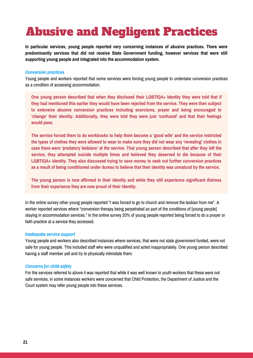# Abusive and Negligent Practices

**In particular services, young people reported very concerning instances of abusive practices. There were predominantly services that did not receive State Government funding, however services that were still supporting young people and integrated into the accommodation system.**

#### *Conversion practices*

Young people and workers reported that some services were forcing young people to undertake conversion practices as a condition of accessing accommodation.

**One young person described that when they disclosed their LGBTIQA+ identity they were told that if they had mentioned this earlier they would have been rejected from the service. They were then subject to extensive abusive conversion practices including exorcisms, prayer and being encouraged to 'change' their identity. Additionally, they were told they were just 'confused' and that their feelings would pass.**

The service forced them to do workbooks to help them become a 'good wife' and the service restricted the types of clothes they were allowed to wear to make sure they did not wear any 'revealing' clothes in **case there were 'predatory lesbians' at the service. That young person described that after they left the service, they attempted suicide multiple times and believed they deserved to die because of their LGBTIQA+ identity. They also discussed trying to save money to seek out further conversion practices** as a result of being conditioned under duress to believe that their identity was unnatural by the service.

**The young person is now affirmed in their identity and while they still experience significant distress from their experience they are now proud of their identity.**

In the online survey other young people reported "I was forced to go to church and remove the lesbian from me". A worker reported services where "conversion therapy being perpetrated as part of the conditions of [young people] staying in accommodation services." In the online survey 20% of young people reported being forced to do a prayer or faith practice at a service they accessed.

#### *Inadequate service support*

Young people and workers also described instances where services, that were not state government funded, were not safe for young people. This included staff who were unqualified and acted inappropriately. One young person described having a staff member yell and try to physically intimidate them.

#### *Concerns for child-safety*

For the services referred to above it was reported that while it was well known to youth workers that these were not safe services, in some instances workers were concerned that Child Protection, the Department of Justice and the Court system may refer young people into these services.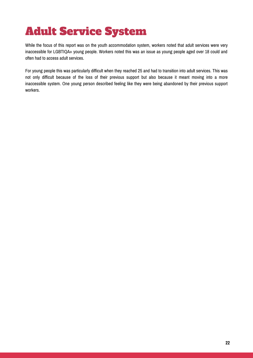# Adult Service System

While the focus of this report was on the youth accommodation system, workers noted that adult services were very inaccessible for LGBTIQA+ young people. Workers noted this was an issue as young people aged over 18 could and often had to access adult services.

For young people this was particularly difficult when they reached 25 and had to transition into adult services. This was not only difficult because of the loss of their previous support but also because it meant moving into a more inaccessible system. One young person described feeling like they were being abandoned by their previous support workers.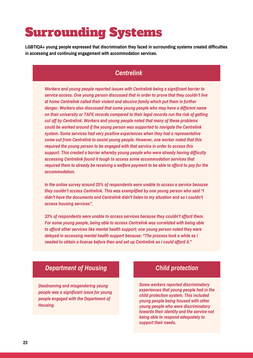# Surrounding Systems

**LGBTIQA+ young people expressed that discrimination they faced in surrounding systems created difficulties in accessing and continuing engagement with accommodation services.**

### *Centrelink*

*Workers and young people reported issues with Centrelink being a significant barrier to service access. One young person discussed that in order to prove that they couldn't live at home Centrelink called their violent and abusive family which put them in further danger. Workers also discussed that some young people who may have a different name on their university or TAFE records compared to their legal records run the risk of getting cut off by Centrelink. Workers and young people noted that many of these problems could be worked around if the young person was supported to navigate the Centrelink system. Some services had very positive experiences when they had a representative come out from Centrelink to assist young people. However, one worker noted that this required the young person to be engaged with that service in order to access this support. This created a barrier whereby young people who were already having difficulty accessing Centrelink found it tough to access some accommodation services that required them to already be receiving a welfare payment to be able to afford to pay for the accommodation.*

*In the online survey around 25% of respondents were unable to access a service because they couldn't access Centrelink. This was exemplified by one young person who said "I didn't have the documents and Centrelink didn't listen to my situation and so I couldn't access housing services".*

*33% of respondents were unable to access services because they couldn't afford them. For some young people, being able to access Centrelink was correlated with being able to afford other services like mental health support; one young person noted they were delayed in accessing mental health support because: "The process took a while as I needed to obtain a license before then and set up Centrelink so I could afford it."*

### *Department of Housing*

*Deadnaming and misgendering young people was a significant issue for young people engaged with the Department of Housing.*

### *Child protection*

*Some workers reported discriminatory experiences that young people had in the child protection system. This included young people being housed with other young people who were discriminatory towards their identity and the service not being able to respond adequately to support their needs.*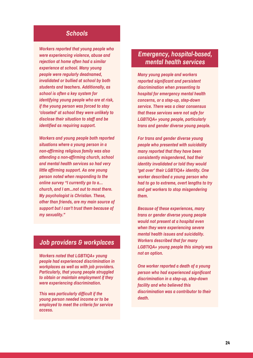#### *Schools*

*Workers reported that young people who were experiencing violence, abuse and rejection at home often had a similar experience at school. Many young people were regularly deadnamed, invalidated or bullied at school by both students and teachers. Additionally, as school is often a key system for identifying young people who are at risk, if the young person was forced to stay 'closeted' at school they were unlikely to disclose their situation to staff and be identified as requiring support.*

*Workers and young people both reported situations where a young person in a non-affirming religious family was also attending a non-affirming church, school and mental health services so had very little affirming support. As one young person noted when responding to the online survey "I currently go to a… church, and I am...not out to most there. My psychologist is Christian. These, other than friends, are my main source of support but I can't trust them because of my sexuality."*

### *Job providers & workplaces*

*Workers noted that LGBTIQA+ young people had experienced discrimination in workplaces as well as with job providers. Particularly, that young people struggled to obtain or maintain employment if they were experiencing discrimination.*

*This was particularly difficult if the young person needed income or to be employed to meet the criteria for service access.*

### *Emergency, hospital-based, mental health services*

*Many young people and workers reported significant and persistent discrimination when presenting to hospital for emergency mental health concerns, or a step-up, step-down service. There was a clear consensus that these services were not safe for LGBTIQA+ young people, particularly trans and gender diverse young people.*

*For trans and gender diverse young people who presented with suicidality many reported that they have been consistently misgendered, had their identity invalidated or told they would 'get over' their LGBTIQA+ identity. One worker described a young person who had to go to extreme, overt lengths to try and get workers to stop misgendering them.*

*Because of these experiences, many trans or gender diverse young people would not present at a hospital even when they were experiencing severe mental health issues and suicidality. Workers described that for many LGBTIQA+ young people this simply was not an option.*

*One worker reported a death of a young person who had experienced significant discrimination in a step-up, step-down facility and who believed this discrimination was a contributor to their death.*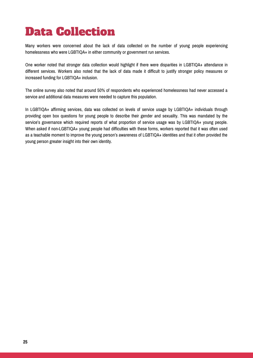# Data Collection

Many workers were concerned about the lack of data collected on the number of young people experiencing homelessness who were LGBTIQA+ in either community or government run services.

One worker noted that stronger data collection would highlight if there were disparities in LGBTIQA+ attendance in different services. Workers also noted that the lack of data made it difficult to justify stronger policy measures or increased funding for LGBTIQA+ inclusion.

The online survey also noted that around 50% of respondents who experienced homelessness had never accessed a service and additional data measures were needed to capture this population.

In LGBTIQA+ affirming services, data was collected on levels of service usage by LGBTIQA+ individuals through providing open box questions for young people to describe their gender and sexuality. This was mandated by the service's governance which required reports of what proportion of service usage was by LGBTIQA+ young people. When asked if non-LGBTIQA+ young people had difficulties with these forms, workers reported that it was often used as a teachable moment to improve the young person's awareness of LGBTIQA+ identities and that it often provided the young person greater insight into their own identity.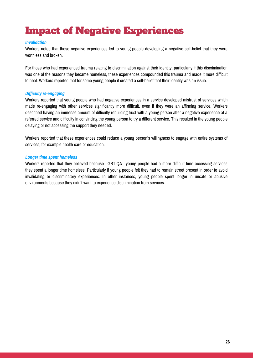# Impact of Negative Experiences

#### *Invalidation*

Workers noted that these negative experiences led to young people developing a negative self-belief that they were worthless and broken.

For those who had experienced trauma relating to discrimination against their identity, particularly if this discrimination was one of the reasons they became homeless, these experiences compounded this trauma and made it more difficult to heal. Workers reported that for some young people it created a self-belief that their identity was an issue.

#### *Difficulty re-engaging*

Workers reported that young people who had negative experiences in a service developed mistrust of services which made re-engaging with other services significantly more difficult, even if they were an affirming service. Workers described having an immense amount of difficulty rebuilding trust with a young person after a negative experience at a referred service and difficulty in convincing the young person to try a different service. This resulted in the young people delaying or not accessing the support they needed.

Workers reported that these experiences could reduce a young person's willingness to engage with entire systems of services, for example health care or education.

#### *Longer time spent homeless*

Workers reported that they believed because LGBTIQA+ young people had a more difficult time accessing services they spent a longer time homeless. Particularly if young people felt they had to remain street present in order to avoid invalidating or discriminatory experiences. In other instances, young people spent longer in unsafe or abusive environments because they didn't want to experience discrimination from services.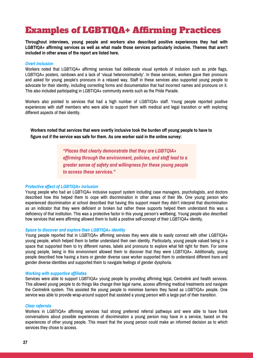# Examples of LGBTIQA+ Affirming Practices

**Throughout interviews, young people and workers also described positive experiences they had with LGBTIQA+ affirming services as well as what made those services particularly inclusive. Themes that aren't included in other areas of the report are listed here.**

#### *Overt inclusion*

Workers noted that LGBTIQA+ affirming services had deliberate visual symbols of inclusion such as pride flags, LGBTIQA+ posters, rainbows and a lack of 'visual heteronormativity'. In these services, workers gave their pronouns and asked for young people's pronouns in a relaxed way. Staff in these services also supported young people to advocate for their identity, including correcting forms and documentation that had incorrect names and pronouns on it. This also included participating in LGBTIQA+ community events such as the Pride Parade.

Workers also pointed to services that had a high number of LGBTIQA+ staff. Young people reported positive experiences with staff members who were able to support them with medical and legal transition or with exploring different aspects of their identity.

**Workers noted that services that were overtly inclusive took the burden off young people to have to figure out if the service was safe for them. As one worker said in the online survey:**

> *"Places that clearly demonstrate that they are LGBTQIA+ affirming through the environment, policies, and staff lead to a greater sense of safety and willingness for these young people to access these services."*

#### *Protective effect of LGBTIQA+ inclusion*

Young people who had an LGBTIQA+ inclusive support system including case managers, psychologists, and doctors described how this helped them to cope with discrimination in other areas of their life. One young person who experienced discrimination at school described that having this support meant they didn't interpret that discrimination as an indicator that they were deficient or broken but rather these supports helped them understand this was a deficiency of that institution. This was a protective factor in this young person's wellbeing. Young people also described how services that were affirming allowed them to build a positive self-concept of their LGBTIQA+ identity.

#### *Space to discover and explore their LGBTIQA+ identity*

Young people reported that in LGBTIOA+ affirming services they were able to easily connect with other LGBTIOA+ young people, which helped them to better understand their own identity. Particularly, young people valued being in a space that supported them to try different names, labels and pronouns to explore what felt right for them. For some young people, being in this environment allowed them to discover that they were LGBTIQA+. Additionally, young people described how having a trans or gender diverse case worker supported them to understand different trans and gender diverse identities and supported them to navigate feelings of gender dysphoria.

#### *Working with supportive affiliates*

Services were able to support LGBTIQA+ young people by providing affirming legal, Centrelink and health services. This allowed young people to do things like change their legal name, access affirming medical treatments and navigate the Centrelink system. This assisted the young people to minimise barriers they faced as LGBTIQA+ people. One service was able to provide wrap-around support that assisted a young person with a large part of their transition.

#### *Clear referrals*

Workers in LGBTIQA+ affirming services had strong preferred referral pathways and were able to have frank conversations about possible experiences of discrimination a young person may have in a service, based on the experiences of other young people. This meant that the young person could make an informed decision as to which services they chose to access.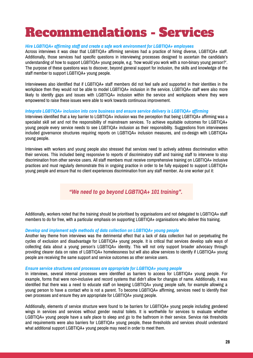# Recommendations - Services

#### *Hire LGBTIQA+ affirming staff and create a safe work environment for LGBTIQA+ employees*

Across interviews it was clear that LGBTIQA+ affirming services had a practice of hiring diverse, LGBTIQA+ staff. Additionally, those services had specific questions in interviewing processes designed to ascertain the candidate's understanding of how to support LGBTIQA+ young people, e.g. 'how would you work with a non-binary young person?'. The purpose of these questions was to discover, beyond general support for inclusion, the skills and knowledge of the staff member to support LGBTIQA+ young people.

Interviewees also identified that if LGBTIQA+ staff members did not feel safe and supported in their identities in the workplace then they would not be able to model LGBTIQA+ inclusion in the service. LGBTIQA+ staff were also more likely to identify gaps and issues with LGBTIQA+ inclusion within the service and workplaces where they were empowered to raise these issues were able to work towards continuous improvement.

#### *Integrate LGBTIQA+ inclusion into core business and ensure service delivery is LGBTIQA+ affirming*

Interviews identified that a key barrier to LGBTIQA+ inclusion was the perception that being LGBTIQA+ affirming was a specialist skill set and not the responsibility of mainstream services. To achieve equitable outcomes for LGBTIQA+ young people every service needs to see LGBTIQA+ inclusion as their responsibility. Suggestions from interviewees included governance structures requiring reports on LGBTIQA+ inclusion measures, and co-design with LGBTIQA+ young people.

Interviews with workers and young people also stressed that services need to actively address discrimination within their services. This included being responsive to reports of discriminatory staff and training staff to intervene to stop discrimination from other service users. All staff members must receive comprehensive training on LGBTIQA+ inclusive practices and must regularly demonstrate this in ongoing practice in order to be fully equipped to support LGBTIQA+ young people and ensure that no client experiences discrimination from any staff member. As one worker put it:

*"We need to go beyond LGBTIQA+ 101 training".*

Additionally, workers noted that the training should be prioritised by organisations and not delegated to LGBTIQA+ staff members to do for free, with a particular emphasis on supporting LGBTIQA+ organisations who deliver this training.

#### *Develop and implement safe methods of data collection on LGBTIQA+ young people*

Another key theme from interviews was the detrimental effect that a lack of data collection had on perpetuating the cycles of exclusion and disadvantage for LGBTIQA+ young people. It is critical that services develop safe ways of collecting data about a young person's LGBTIQA+ identity. This will not only support broader advocacy through providing clearer data on rates of LGBTIQA+ homelessness but will also allow services to identify if LGBTIQA+ young people are receiving the same support and service outcomes as other service users.

#### *Ensure service structures and processes are appropriate for LGBTIQA+ young people*

In interviews, several internal processes were identified as barriers to access for LGBTIQA+ young people. For example, forms that were non-inclusive and record systems that didn't allow for changes of name. Additionally, it was identified that there was a need to educate staff on keeping LGBTIQA+ young people safe, for example allowing a young person to have a contact who is not a parent. To become LGBTIQA+ affirming, services need to identify their own processes and ensure they are appropriate for LGBTIQA+ young people.

Additionally, elements of service structure were found to be barriers for LGBTIQA+ young people including gendered wings in services and services without gender neutral toilets. It is worthwhile for services to evaluate whether LGBTIQA+ young people have a safe place to sleep and go to the bathroom in their service. Service risk thresholds and requirements were also barriers for LGBTIQA+ young people, these thresholds and services should understand what additional support LGBTIQA+ young people may need in order to meet them.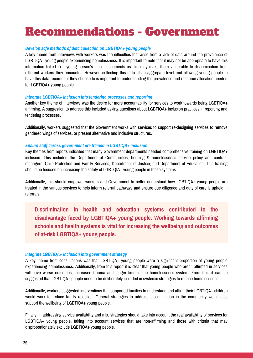# Recommendations - Government

#### *Develop safe methods of data collection on LGBTIQA+ young people*

A key theme from interviews with workers was the difficulties that arise from a lack of data around the prevalence of LGBTIQA+ young people experiencing homelessness. It is important to note that it may not be appropriate to have this information linked to a young person's file or documents as this may make them vulnerable to discrimination from different workers they encounter. However, collecting this data at an aggregate level and allowing young people to have this data recorded if they choose to is important to understanding the prevalence and resource allocation needed for LGBTIQA+ young people.

#### *Integrate LGBTIQA+ inclusion into tendering processes and reporting*

Another key theme of interviews was the desire for more accountability for services to work towards being LGBTIQA+ affirming. A suggestion to address this included asking questions about LGBTIQA+ inclusion practices in reporting and tendering processes.

Additionally, workers suggested that the Government works with services to support re-designing services to remove gendered wings of services, or present alternative and inclusive structures.

#### *Ensure staff across government are trained in LGBTIQA+ inclusion*

Key themes from reports indicated that many Government departments needed comprehensive training on LGBTIQA+ inclusion. This included the Department of Communities, housing & homelessness service policy and contract managers, Child Protection and Family Services, Department of Justice, and Department of Education. This training should be focused on increasing the safety of LGBTQIA+ young people in those systems.

Additionally, this should empower workers and Government to better understand how LGBTIQA+ young people are treated in the various services to help inform referral pathways and ensure due diligence and duty of care is upheld in referrals.

**Discrimination in health and education systems contributed to the disadvantage faced by LGBTIQA+ young people. Working towards affirming schools and health systems is vital for increasing the wellbeing and outcomes of at-risk LGBTIQA+ young people.**

#### *Integrate LGBTIQA+ inclusion into government strategy*

A key theme from consultations was that LGBTIQA+ young people were a significant proportion of young people experiencing homelessness. Additionally, from this report it is clear that young people who aren't affirmed in services will have worse outcomes, increased trauma and longer time in the homelessness system. From this, it can be suggested that LGBTIQA+ people need to be deliberately included in systemic strategies to reduce homelessness.

Additionally, workers suggested interventions that supported families to understand and affirm their LGBTIQA+ children would work to reduce family rejection. General strategies to address discrimination in the community would also support the wellbeing of LGBTIQA+ young people.

Finally, in addressing service availability and mix, strategies should take into account the real availability of services for LGBTIQA+ young people, taking into account services that are non-affirming and those with criteria that may disproportionately exclude LGBTIQA+ young people.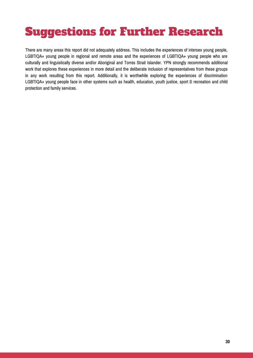# Suggestions for Further Research

There are many areas this report did not adequately address. This includes the experiences of intersex young people, LGBTIQA+ young people in regional and remote areas and the experiences of LGBTIQA+ young people who are culturally and linguistically diverse and/or Aboriginal and Torres Strait Islander. YPN strongly recommends additional work that explores these experiences in more detail and the deliberate inclusion of representatives from these groups in any work resulting from this report. Additionally, it is worthwhile exploring the experiences of discrimination LGBTIQA+ young people face in other systems such as health, education, youth justice, sport & recreation and child protection and family services.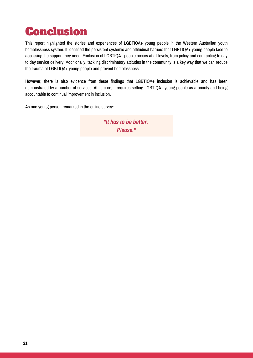# Conclusion

This report highlighted the stories and experiences of LGBTIQA+ young people in the Western Australian youth homelessness system. It identified the persistent systemic and attitudinal barriers that LGBTIQA+ young people face to accessing the support they need. Exclusion of LGBTIQA+ people occurs at all levels, from policy and contracting to day to day service delivery. Additionally, tackling discriminatory attitudes in the community is a key way that we can reduce the trauma of LGBTIQA+ young people and prevent homelessness.

However, there is also evidence from these findings that LGBTIQA+ inclusion is achievable and has been demonstrated by a number of services. At its core, it requires setting LGBTIQA+ young people as a priority and being accountable to continual improvement in inclusion.

As one young person remarked in the online survey:

*"It has to be better. Please."*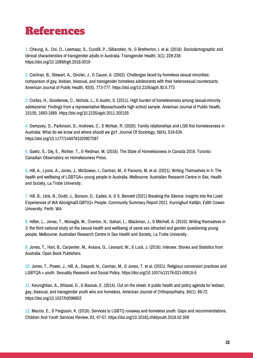# References

1. Cheung, A., Ooi, O., Leemaqz, S., Cundill, P., Silberstein, N., & Bretherton, I. et al. (2018). Sociodemographic and clinical characteristics of transgender adults in Australia. Transgender Health, 3(1), 229-238. https://doi.org/10.1089/trgh.2018.0019

2. Cochran, B., Stewart, A., Ginzler, J., & Cauce, A. (2002). Challenges faced by homeless sexual minorities: comparison of gay, lesbian, bisexual, and transgender homeless adolescents with their heterosexual counterparts. American Journal of Public Health, 92(5), 773-777. https://doi.org/10.2105/ajph.92.5.773

3. Corliss, H., Goodenow, C., Nichols, L., & Austin, S. (2011). High burden of homelessness among sexual-minority adolescents: Findings from a representative Massachusetts high school sample. American Journal of Public Health, 101(9), 1683-1689. https://doi.org/10.2105/ajph.2011.300155

4. Dempsey, D., Parkinson, S., Andrews, C., & McNair, R. (2020). Family relationships and LGB first homelessness in Australia: What do we know and where should we go?. Journal Of Sociology, 56(4), 516-534. https://doi.org/10.1177/1440783320927087

5. Gaetz, S., Dej, E., Richter, T., & Redman, M. (2016). The State of Homelessness in Canada 2016. Toronto: Canadian Observatory on Homelessness Press.

6. Hill, A., Lyons, A., Jones, J., McGowan, I., Carman, M., & Parsons, M. et al. (2021). Writing Themselves In 4: The health and wellbeing of LGBTQA+ young people in Australia. Melbourne: Australian Research Centre in Sex, Health and Society, La Trobe University.

7. Hill, B., Uink, B., Dodd, J., Bonson, D., Eades, A. & S. Bennett (2021) Breaking the Silence: Insights into the Lived Experiences of WA Aboriginal/LGBTIQ+ People, Community Summary Report 2021. Kurongkurl Katitjin, Edith Cowan University. Perth. WA

8. Hillier, L., Jones, T., Monagle, M., Overton, N., Gahan, L., Blackman, J., & Mitchell, A. (2010). Writing themselves in 3: the third national study on the sexual health and wellbeing of same sex attracted and gender questioning young people. Melbourne: Australian Research Centre in Sex Health and Society, La Trobe University.

9. Jones, T., Hart, B., Carpenter, M., Ansara, G., Leonard, W., & Luck, J. (2016). Intersex: Stories and Statistics from Australia. Open Book Publishers.

10. Jones, T., Power, J., Hill, A., Despott, N., Carman, M., & Jones, T. et al. (2021). Religious conversion practices and LGBTQA + youth. Sexuality Research and Social Policy. https://doi.org/10.1007/s13178-021-00615-5

11. Keuroghlian, A., Shtasel, D., & Bassuk, E. (2014). Out on the street: A public health and policy agenda for lesbian, gay, bisexual, and transgender youth who are homeless. American Journal of Orthopsychiatry, 84(1), 66-72. <https://doi.org/10.1037/h0098852>

12. Maccio, E., & Ferguson, K. (2016). Services to LGBTQ runaway and homeless youth: Gaps and recommendations. Children And Youth Services Review, 63, 47-57. https://doi.org/10.1016/j.childyouth.2016.02.008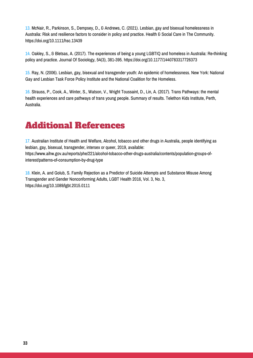13. McNair, R., Parkinson, S., Dempsey, D., & Andrews, C. (2021). Lesbian, gay and bisexual homelessness in Australia: Risk and resilience factors to consider in policy and practice. Health & Social Care in The Community. https://doi.org/10.1111/hsc.13439

14. Oakley, S., & Bletsas, A. (2017). The experiences of being a young LGBTIQ and homeless in Australia: Re-thinking policy and practice. Journal Of Sociology, 54(3), 381-395. https://doi.org/10.1177/1440783317726373

15. Ray, N. (2006). Lesbian, gay, bisexual and transgender youth: An epidemic of homelessness. New York: National Gay and Lesbian Task Force Policy Institute and the National Coalition for the Homeless.

16. Strauss, P., Cook, A., Winter, S., Watson, V., Wright Toussaint, D., Lin, A. (2017). Trans Pathways: the mental health experiences and care pathways of trans young people. Summary of results. Telethon Kids Institute, Perth, Australia.

## Additional References

17. Australian Institute of Health and Welfare, Alcohol, tobacco and other drugs in Australia, people identifying as lesbian, gay, bisexual, transgender, intersex or queer, 2019, available: [https://www.aihw.gov.au/reports/phe/221/alcohol-tobacco-other-drugs-australia/contents/population-groups-of](https://www.aihw.gov.au/reports/phe/221/alcohol-tobacco-other-drugs-australia/contents/population-groups-of-interest/patterns-of-consumption-by-drug-type)interest/patterns-of-consumption-by-drug-type

18. Klein, A. and Golub, S. Family Rejection as a Predictor of Suicide Attempts and Substance Misuse Among Transgender and Gender Nonconforming Adults, LGBT Health 2016, Vol. 3, No. 3, <https://doi.org/10.1089/lgbt.2015.0111>